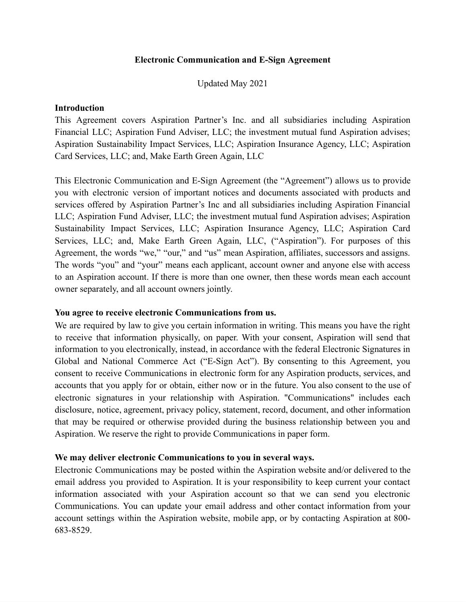### **Electronic Communication and E-Sign Agreement**

Updated May 2021

### **Introduction**

This Agreement covers Aspiration Partner's Inc. and all subsidiaries including Aspiration Financial LLC; Aspiration Fund Adviser, LLC; the investment mutual fund Aspiration advises; Aspiration Sustainability Impact Services, LLC; Aspiration Insurance Agency, LLC; Aspiration Card Services, LLC; and, Make Earth Green Again, LLC

This Electronic Communication and E-Sign Agreement (the "Agreement") allows us to provide you with electronic version of important notices and documents associated with products and services offered by Aspiration Partner's Inc and all subsidiaries including Aspiration Financial LLC; Aspiration Fund Adviser, LLC; the investment mutual fund Aspiration advises; Aspiration Sustainability Impact Services, LLC; Aspiration Insurance Agency, LLC; Aspiration Card Services, LLC; and, Make Earth Green Again, LLC, ("Aspiration"). For purposes of this Agreement, the words "we," "our," and "us" mean Aspiration, affiliates, successors and assigns. The words "you" and "your" means each applicant, account owner and anyone else with access to an Aspiration account. If there is more than one owner, then these words mean each account owner separately, and all account owners jointly.

# **You agree to receive electronic Communications from us.**

We are required by law to give you certain information in writing. This means you have the right to receive that information physically, on paper. With your consent, Aspiration will send that information to you electronically, instead, in accordance with the federal Electronic Signatures in Global and National Commerce Act ("E-Sign Act"). By consenting to this Agreement, you consent to receive Communications in electronic form for any Aspiration products, services, and accounts that you apply for or obtain, either now or in the future. You also consent to the use of electronic signatures in your relationship with Aspiration. "Communications" includes each disclosure, notice, agreement, privacy policy, statement, record, document, and other information that may be required or otherwise provided during the business relationship between you and Aspiration. We reserve the right to provide Communications in paper form.

# **We may deliver electronic Communications to you in several ways.**

Electronic Communications may be posted within the Aspiration website and/or delivered to the email address you provided to Aspiration. It is your responsibility to keep current your contact information associated with your Aspiration account so that we can send you electronic Communications. You can update your email address and other contact information from your account settings within the Aspiration website, mobile app, or by contacting Aspiration at 800- 683-8529.